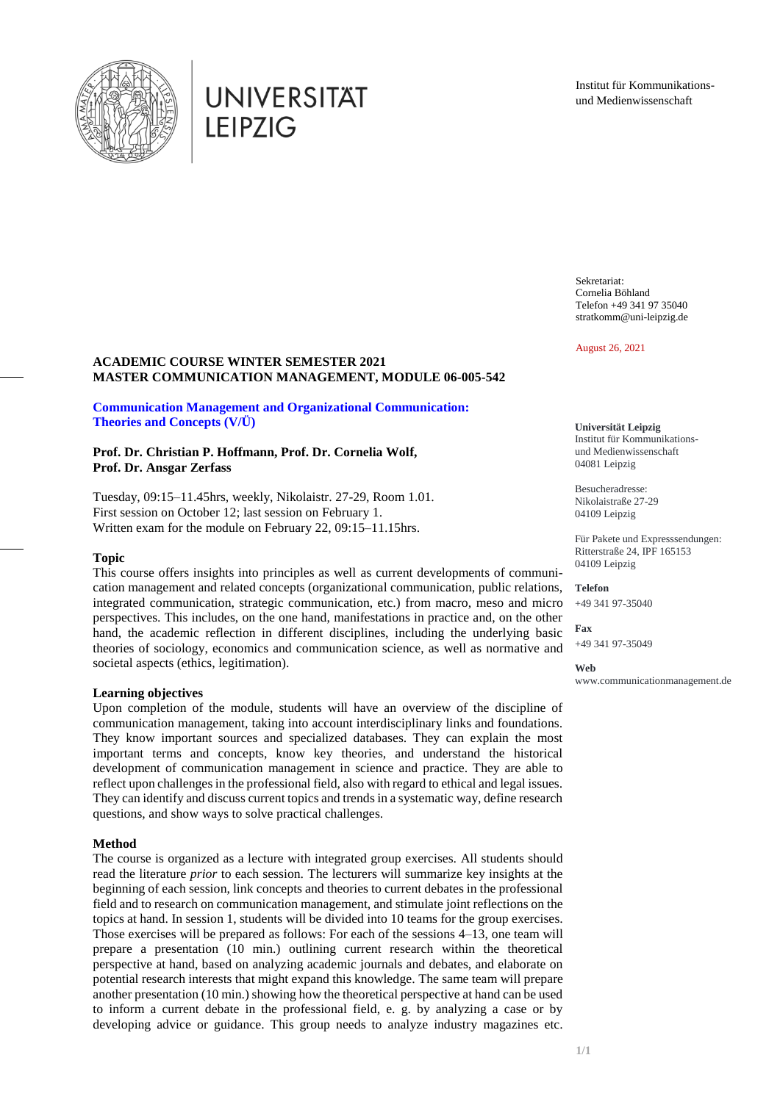

# **UNIVERSITAT LEIPZIG**

Institut für Kommunikationsund Medienwissenschaft

Sekretariat: Cornelia Böhland Telefon +49 341 97 35040 stratkomm@uni-leipzig.de

August 26, 2021

## **ACADEMIC COURSE WINTER SEMESTER 2021 MASTER COMMUNICATION MANAGEMENT, MODULE 06-005-542**

# **Communication Management and Organizational Communication: Theories and Concepts (V/Ü)**

## **Prof. Dr. Christian P. Hoffmann, Prof. Dr. Cornelia Wolf, Prof. Dr. Ansgar Zerfass**

Tuesday, 09:15–11.45hrs, weekly, Nikolaistr. 27-29, Room 1.01. First session on October 12; last session on February 1. Written exam for the module on February 22, 09:15–11.15hrs.

## **Topic**

This course offers insights into principles as well as current developments of communication management and related concepts (organizational communication, public relations, integrated communication, strategic communication, etc.) from macro, meso and micro perspectives. This includes, on the one hand, manifestations in practice and, on the other hand, the academic reflection in different disciplines, including the underlying basic theories of sociology, economics and communication science, as well as normative and societal aspects (ethics, legitimation).

#### **Learning objectives**

Upon completion of the module, students will have an overview of the discipline of communication management, taking into account interdisciplinary links and foundations. They know important sources and specialized databases. They can explain the most important terms and concepts, know key theories, and understand the historical development of communication management in science and practice. They are able to reflect upon challenges in the professional field, also with regard to ethical and legal issues. They can identify and discuss current topics and trends in a systematic way, define research questions, and show ways to solve practical challenges.

#### **Method**

The course is organized as a lecture with integrated group exercises. All students should read the literature *prior* to each session. The lecturers will summarize key insights at the beginning of each session, link concepts and theories to current debates in the professional field and to research on communication management, and stimulate joint reflections on the topics at hand. In session 1, students will be divided into 10 teams for the group exercises. Those exercises will be prepared as follows: For each of the sessions 4–13, one team will prepare a presentation (10 min.) outlining current research within the theoretical perspective at hand, based on analyzing academic journals and debates, and elaborate on potential research interests that might expand this knowledge. The same team will prepare another presentation (10 min.) showing how the theoretical perspective at hand can be used to inform a current debate in the professional field, e. g. by analyzing a case or by developing advice or guidance. This group needs to analyze industry magazines etc.

**Universität Leipzig** Institut für Kommunikationsund Medienwissenschaft 04081 Leipzig

Besucheradresse: Nikolaistraße 27-29 04109 Leipzig

Für Pakete und Expresssendungen: Ritterstraße 24, IPF 165153 04109 Leipzig

**Telefon** +49 341 97-35040

**Fax** +49 341 97-35049

**Web** www.communicationmanagement.de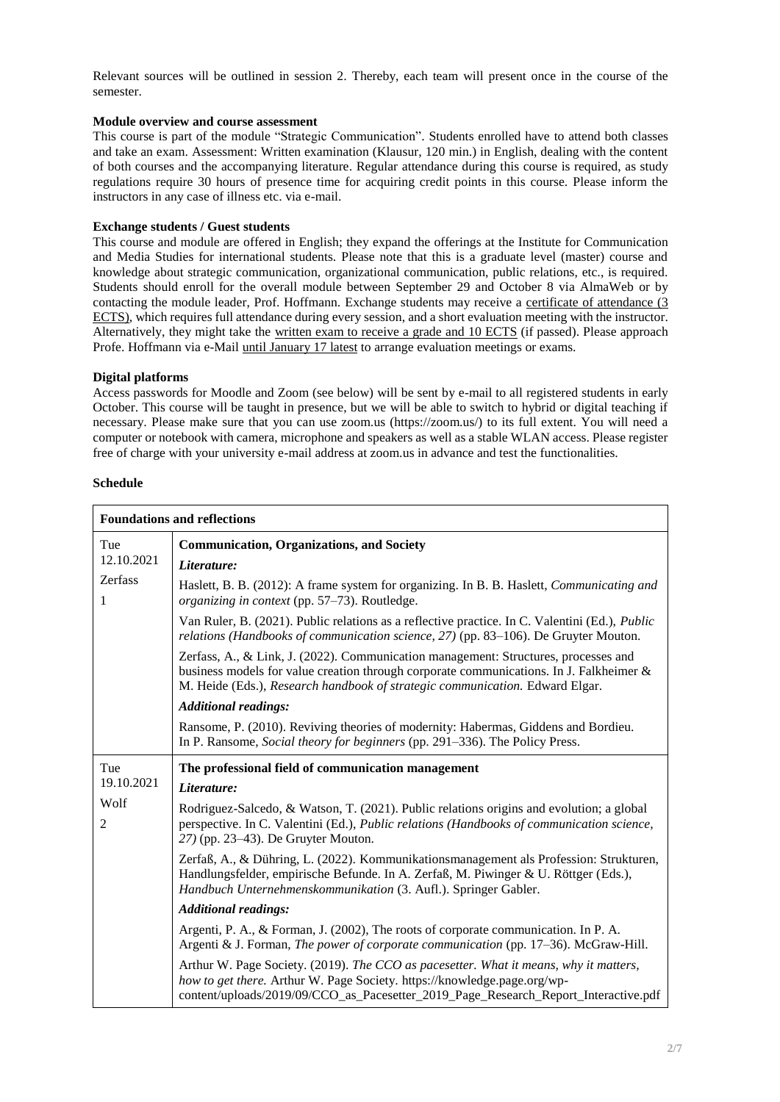Relevant sources will be outlined in session 2. Thereby, each team will present once in the course of the semester.

## **Module overview and course assessment**

This course is part of the module "Strategic Communication". Students enrolled have to attend both classes and take an exam. Assessment: Written examination (Klausur, 120 min.) in English, dealing with the content of both courses and the accompanying literature. Regular attendance during this course is required, as study regulations require 30 hours of presence time for acquiring credit points in this course. Please inform the instructors in any case of illness etc. via e-mail.

#### **Exchange students / Guest students**

This course and module are offered in English; they expand the offerings at the Institute for Communication and Media Studies for international students. Please note that this is a graduate level (master) course and knowledge about strategic communication, organizational communication, public relations, etc., is required. Students should enroll for the overall module between September 29 and October 8 via AlmaWeb or by contacting the module leader, Prof. Hoffmann. Exchange students may receive a certificate of attendance (3 ECTS), which requires full attendance during every session, and a short evaluation meeting with the instructor. Alternatively, they might take the written exam to receive a grade and 10 ECTS (if passed). Please approach Profe. Hoffmann via e-Mail until January 17 latest to arrange evaluation meetings or exams.

#### **Digital platforms**

Access passwords for Moodle and Zoom (see below) will be sent by e-mail to all registered students in early October. This course will be taught in presence, but we will be able to switch to hybrid or digital teaching if necessary. Please make sure that you can use zoom.us (https://zoom.us/) to its full extent. You will need a computer or notebook with camera, microphone and speakers as well as a stable WLAN access. Please register free of charge with your university e-mail address at zoom.us in advance and test the functionalities.

#### **Schedule**

| <b>Foundations and reflections</b> |                                                                                                                                                                                                                                                                |  |
|------------------------------------|----------------------------------------------------------------------------------------------------------------------------------------------------------------------------------------------------------------------------------------------------------------|--|
| Tue                                | <b>Communication, Organizations, and Society</b>                                                                                                                                                                                                               |  |
| 12.10.2021<br>Zerfass<br>1         | Literature:                                                                                                                                                                                                                                                    |  |
|                                    | Haslett, B. B. (2012): A frame system for organizing. In B. B. Haslett, Communicating and<br>organizing in context (pp. 57-73). Routledge.                                                                                                                     |  |
|                                    | Van Ruler, B. (2021). Public relations as a reflective practice. In C. Valentini (Ed.), <i>Public</i><br>relations (Handbooks of communication science, 27) (pp. 83–106). De Gruyter Mouton.                                                                   |  |
|                                    | Zerfass, A., & Link, J. (2022). Communication management: Structures, processes and<br>business models for value creation through corporate communications. In J. Falkheimer &<br>M. Heide (Eds.), Research handbook of strategic communication. Edward Elgar. |  |
|                                    | <b>Additional readings:</b>                                                                                                                                                                                                                                    |  |
|                                    | Ransome, P. (2010). Reviving theories of modernity: Habermas, Giddens and Bordieu.<br>In P. Ransome, <i>Social theory for beginners</i> (pp. 291–336). The Policy Press.                                                                                       |  |
| Tue                                | The professional field of communication management                                                                                                                                                                                                             |  |
| 19.10.2021<br>Wolf<br>2            | Literature:                                                                                                                                                                                                                                                    |  |
|                                    | Rodriguez-Salcedo, & Watson, T. (2021). Public relations origins and evolution; a global<br>perspective. In C. Valentini (Ed.), Public relations (Handbooks of communication science,<br>$27$ ) (pp. 23–43). De Gruyter Mouton.                                |  |
|                                    | Zerfaß, A., & Dühring, L. (2022). Kommunikationsmanagement als Profession: Strukturen,<br>Handlungsfelder, empirische Befunde. In A. Zerfaß, M. Piwinger & U. Röttger (Eds.),<br>Handbuch Unternehmenskommunikation (3. Aufl.). Springer Gabler.               |  |
|                                    | <b>Additional readings:</b>                                                                                                                                                                                                                                    |  |
|                                    | Argenti, P. A., & Forman, J. (2002), The roots of corporate communication. In P. A.<br>Argenti & J. Forman, The power of corporate communication (pp. 17–36). McGraw-Hill.                                                                                     |  |
|                                    | Arthur W. Page Society. (2019). The CCO as pacesetter. What it means, why it matters,<br>how to get there. Arthur W. Page Society. https://knowledge.page.org/wp-<br>content/uploads/2019/09/CCO_as_Pacesetter_2019_Page_Research_Report_Interactive.pdf       |  |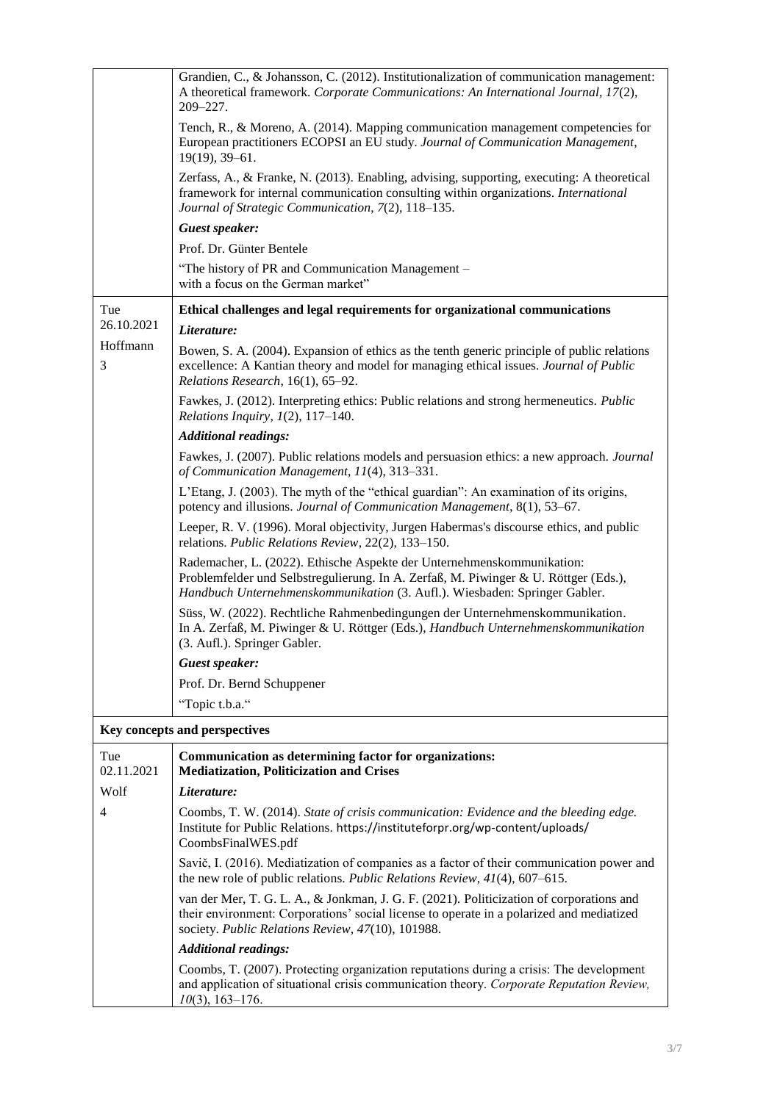|                   | Grandien, C., & Johansson, C. (2012). Institutionalization of communication management:<br>A theoretical framework. Corporate Communications: An International Journal, 17(2),<br>$209 - 227.$                                              |
|-------------------|---------------------------------------------------------------------------------------------------------------------------------------------------------------------------------------------------------------------------------------------|
|                   | Tench, R., & Moreno, A. (2014). Mapping communication management competencies for<br>European practitioners ECOPSI an EU study. Journal of Communication Management,<br>$19(19)$ , 39-61.                                                   |
|                   | Zerfass, A., & Franke, N. (2013). Enabling, advising, supporting, executing: A theoretical<br>framework for internal communication consulting within organizations. International<br>Journal of Strategic Communication, 7(2), 118-135.     |
|                   | Guest speaker:                                                                                                                                                                                                                              |
|                   | Prof. Dr. Günter Bentele                                                                                                                                                                                                                    |
|                   | "The history of PR and Communication Management -<br>with a focus on the German market"                                                                                                                                                     |
| Tue               | Ethical challenges and legal requirements for organizational communications                                                                                                                                                                 |
| 26.10.2021        | Literature:                                                                                                                                                                                                                                 |
| Hoffmann<br>3     | Bowen, S. A. (2004). Expansion of ethics as the tenth generic principle of public relations<br>excellence: A Kantian theory and model for managing ethical issues. Journal of Public<br>Relations Research, 16(1), 65-92.                   |
|                   | Fawkes, J. (2012). Interpreting ethics: Public relations and strong hermeneutics. Public<br>Relations Inquiry, $I(2)$ , 117-140.                                                                                                            |
|                   | <b>Additional readings:</b>                                                                                                                                                                                                                 |
|                   | Fawkes, J. (2007). Public relations models and persuasion ethics: a new approach. Journal<br>of Communication Management, 11(4), 313-331.                                                                                                   |
|                   | L'Etang, J. (2003). The myth of the "ethical guardian": An examination of its origins,<br>potency and illusions. Journal of Communication Management, 8(1), 53-67.                                                                          |
|                   | Leeper, R. V. (1996). Moral objectivity, Jurgen Habermas's discourse ethics, and public<br>relations. Public Relations Review, 22(2), 133-150.                                                                                              |
|                   | Rademacher, L. (2022). Ethische Aspekte der Unternehmenskommunikation:<br>Problemfelder und Selbstregulierung. In A. Zerfaß, M. Piwinger & U. Röttger (Eds.),<br>Handbuch Unternehmenskommunikation (3. Aufl.). Wiesbaden: Springer Gabler. |
|                   | Süss, W. (2022). Rechtliche Rahmenbedingungen der Unternehmenskommunikation.<br>In A. Zerfaß, M. Piwinger & U. Röttger (Eds.), Handbuch Unternehmenskommunikation<br>(3. Aufl.). Springer Gabler.                                           |
|                   | Guest speaker:                                                                                                                                                                                                                              |
|                   | Prof. Dr. Bernd Schuppener                                                                                                                                                                                                                  |
|                   | "Topic t.b.a."                                                                                                                                                                                                                              |
|                   | Key concepts and perspectives                                                                                                                                                                                                               |
| Tue<br>02.11.2021 | Communication as determining factor for organizations:<br><b>Mediatization, Politicization and Crises</b>                                                                                                                                   |
| Wolf              | Literature:                                                                                                                                                                                                                                 |
| 4                 | Coombs, T. W. (2014). State of crisis communication: Evidence and the bleeding edge.<br>Institute for Public Relations. https://instituteforpr.org/wp-content/uploads/<br>CoombsFinalWES.pdf                                                |
|                   | Savič, I. (2016). Mediatization of companies as a factor of their communication power and<br>the new role of public relations. Public Relations Review, $41(4)$ , 607-615.                                                                  |
|                   | van der Mer, T. G. L. A., & Jonkman, J. G. F. (2021). Politicization of corporations and<br>their environment: Corporations' social license to operate in a polarized and mediatized<br>society. Public Relations Review, 47(10), 101988.   |
|                   | <b>Additional readings:</b>                                                                                                                                                                                                                 |
|                   | Coombs, T. (2007). Protecting organization reputations during a crisis: The development<br>and application of situational crisis communication theory. Corporate Reputation Review,<br>$10(3)$ , 163-176.                                   |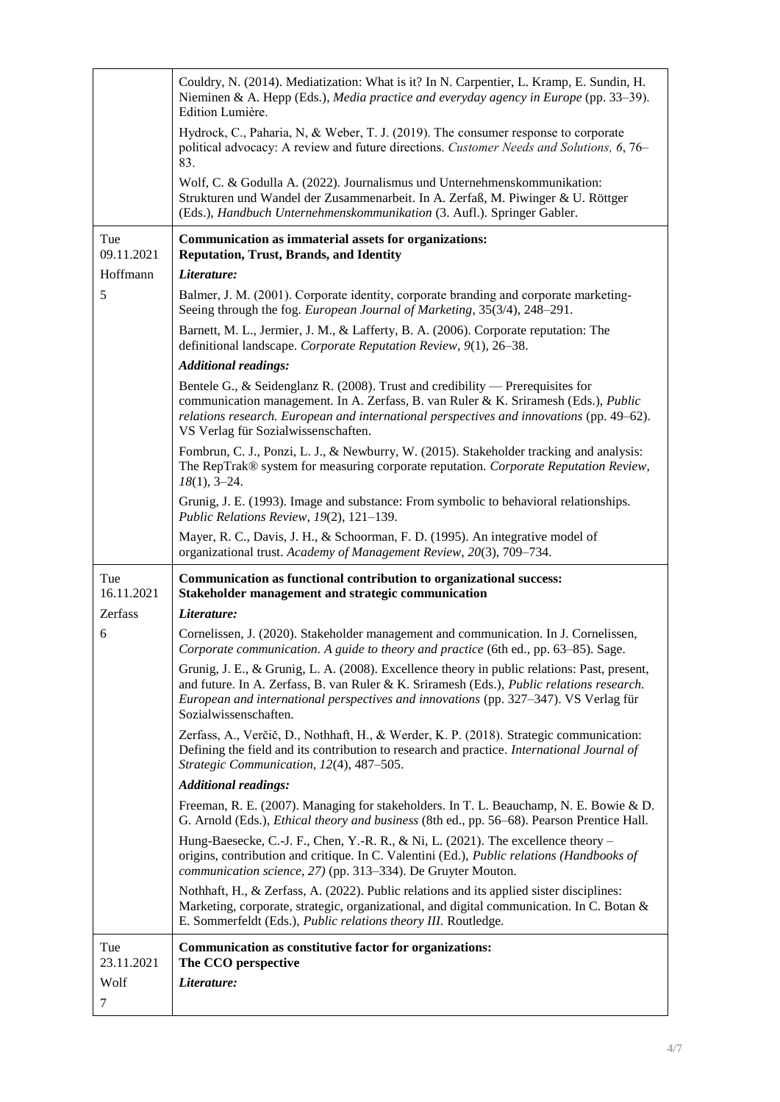|                   | Couldry, N. (2014). Mediatization: What is it? In N. Carpentier, L. Kramp, E. Sundin, H.<br>Nieminen & A. Hepp (Eds.), Media practice and everyday agency in Europe (pp. 33–39).<br>Edition Lumière.                                                                                                       |
|-------------------|------------------------------------------------------------------------------------------------------------------------------------------------------------------------------------------------------------------------------------------------------------------------------------------------------------|
|                   | Hydrock, C., Paharia, N, & Weber, T. J. (2019). The consumer response to corporate<br>political advocacy: A review and future directions. Customer Needs and Solutions, 6, 76-<br>83.                                                                                                                      |
|                   | Wolf, C. & Godulla A. (2022). Journalismus und Unternehmenskommunikation:<br>Strukturen und Wandel der Zusammenarbeit. In A. Zerfaß, M. Piwinger & U. Röttger<br>(Eds.), Handbuch Unternehmenskommunikation (3. Aufl.). Springer Gabler.                                                                   |
| Tue<br>09.11.2021 | Communication as immaterial assets for organizations:<br><b>Reputation, Trust, Brands, and Identity</b>                                                                                                                                                                                                    |
| Hoffmann          | Literature:                                                                                                                                                                                                                                                                                                |
| 5                 | Balmer, J. M. (2001). Corporate identity, corporate branding and corporate marketing-<br>Seeing through the fog. European Journal of Marketing, 35(3/4), 248-291.                                                                                                                                          |
|                   | Barnett, M. L., Jermier, J. M., & Lafferty, B. A. (2006). Corporate reputation: The<br>definitional landscape. Corporate Reputation Review, 9(1), 26-38.                                                                                                                                                   |
|                   | <b>Additional readings:</b>                                                                                                                                                                                                                                                                                |
|                   | Bentele G., & Seidenglanz R. (2008). Trust and credibility — Prerequisites for<br>communication management. In A. Zerfass, B. van Ruler & K. Sriramesh (Eds.), Public<br>relations research. European and international perspectives and innovations (pp. 49–62).<br>VS Verlag für Sozialwissenschaften.   |
|                   | Fombrun, C. J., Ponzi, L. J., & Newburry, W. (2015). Stakeholder tracking and analysis:<br>The RepTrak® system for measuring corporate reputation. Corporate Reputation Review,<br>$18(1), 3-24.$                                                                                                          |
|                   | Grunig, J. E. (1993). Image and substance: From symbolic to behavioral relationships.<br>Public Relations Review, 19(2), 121-139.                                                                                                                                                                          |
|                   | Mayer, R. C., Davis, J. H., & Schoorman, F. D. (1995). An integrative model of<br>organizational trust. Academy of Management Review, 20(3), 709-734.                                                                                                                                                      |
| Tue<br>16.11.2021 | Communication as functional contribution to organizational success:<br><b>Stakeholder management and strategic communication</b>                                                                                                                                                                           |
| Zerfass           | Literature:                                                                                                                                                                                                                                                                                                |
| 6                 | Cornelissen, J. (2020). Stakeholder management and communication. In J. Cornelissen,<br>Corporate communication. A guide to theory and practice (6th ed., pp. 63-85). Sage.                                                                                                                                |
|                   | Grunig, J. E., & Grunig, L. A. (2008). Excellence theory in public relations: Past, present,<br>and future. In A. Zerfass, B. van Ruler & K. Sriramesh (Eds.), Public relations research.<br>European and international perspectives and innovations (pp. 327–347). VS Verlag für<br>Sozialwissenschaften. |
|                   | Zerfass, A., Verčič, D., Nothhaft, H., & Werder, K. P. (2018). Strategic communication:<br>Defining the field and its contribution to research and practice. International Journal of<br>Strategic Communication, 12(4), 487-505.                                                                          |
|                   | <b>Additional readings:</b>                                                                                                                                                                                                                                                                                |
|                   | Freeman, R. E. (2007). Managing for stakeholders. In T. L. Beauchamp, N. E. Bowie & D.<br>G. Arnold (Eds.), <i>Ethical theory and business</i> (8th ed., pp. 56–68). Pearson Prentice Hall.                                                                                                                |
|                   | Hung-Baesecke, C.-J. F., Chen, Y.-R. R., & Ni, L. (2021). The excellence theory $-$<br>origins, contribution and critique. In C. Valentini (Ed.), Public relations (Handbooks of<br>communication science, 27) (pp. 313-334). De Gruyter Mouton.                                                           |
|                   | Nothhaft, H., & Zerfass, A. (2022). Public relations and its applied sister disciplines:<br>Marketing, corporate, strategic, organizational, and digital communication. In C. Botan &<br>E. Sommerfeldt (Eds.), Public relations theory III. Routledge.                                                    |
| Tue<br>23.11.2021 | Communication as constitutive factor for organizations:<br>The CCO perspective                                                                                                                                                                                                                             |
| Wolf<br>7         | Literature:                                                                                                                                                                                                                                                                                                |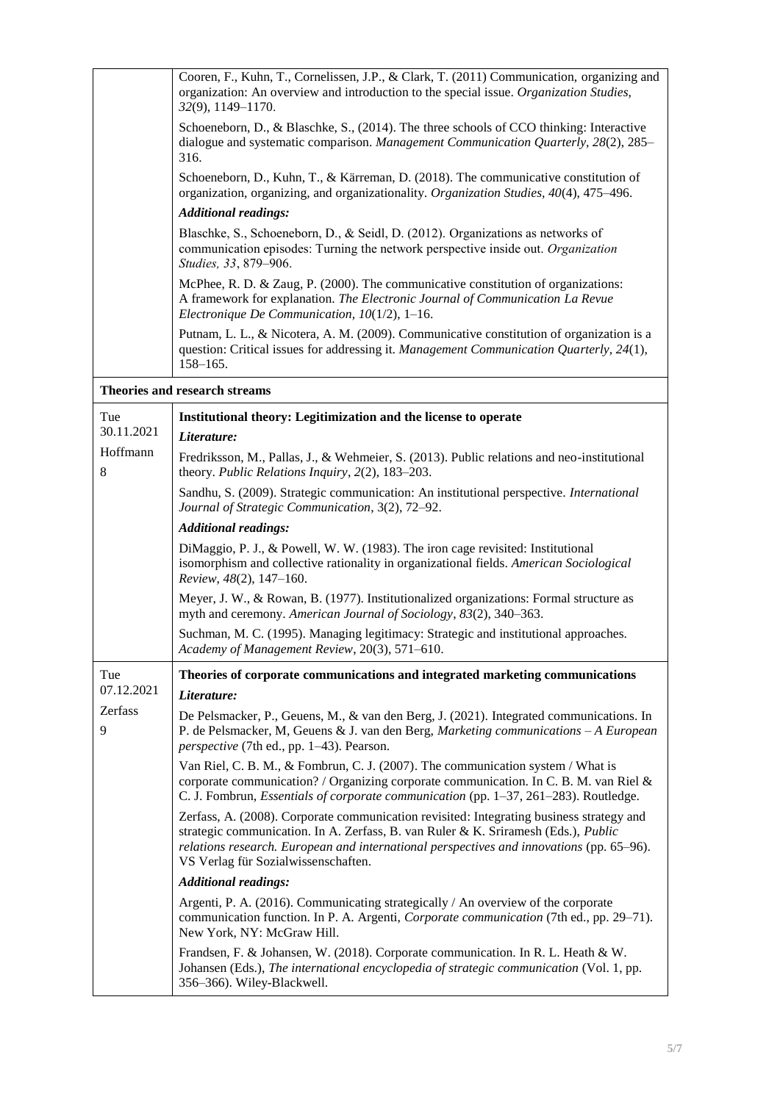|               | Cooren, F., Kuhn, T., Cornelissen, J.P., & Clark, T. (2011) Communication, organizing and<br>organization: An overview and introduction to the special issue. Organization Studies,<br>32(9), 1149-1170.                                                                                                          |
|---------------|-------------------------------------------------------------------------------------------------------------------------------------------------------------------------------------------------------------------------------------------------------------------------------------------------------------------|
|               | Schoeneborn, D., & Blaschke, S., (2014). The three schools of CCO thinking: Interactive<br>dialogue and systematic comparison. Management Communication Quarterly, 28(2), 285–<br>316.                                                                                                                            |
|               | Schoeneborn, D., Kuhn, T., & Kärreman, D. (2018). The communicative constitution of<br>organization, organizing, and organizationality. Organization Studies, 40(4), 475–496.                                                                                                                                     |
|               | <b>Additional readings:</b>                                                                                                                                                                                                                                                                                       |
|               | Blaschke, S., Schoeneborn, D., & Seidl, D. (2012). Organizations as networks of<br>communication episodes: Turning the network perspective inside out. Organization<br>Studies, 33, 879-906.                                                                                                                      |
|               | McPhee, R. D. & Zaug, P. (2000). The communicative constitution of organizations:<br>A framework for explanation. The Electronic Journal of Communication La Revue<br>Electronique De Communication, 10(1/2), 1-16.                                                                                               |
|               | Putnam, L. L., & Nicotera, A. M. (2009). Communicative constitution of organization is a<br>question: Critical issues for addressing it. Management Communication Quarterly, 24(1),<br>$158 - 165.$                                                                                                               |
|               | Theories and research streams                                                                                                                                                                                                                                                                                     |
| Tue           | Institutional theory: Legitimization and the license to operate                                                                                                                                                                                                                                                   |
| 30.11.2021    | Literature:                                                                                                                                                                                                                                                                                                       |
| Hoffmann<br>8 | Fredriksson, M., Pallas, J., & Wehmeier, S. (2013). Public relations and neo-institutional<br>theory. Public Relations Inquiry, 2(2), 183-203.                                                                                                                                                                    |
|               | Sandhu, S. (2009). Strategic communication: An institutional perspective. <i>International</i><br>Journal of Strategic Communication, 3(2), 72-92.                                                                                                                                                                |
|               | <b>Additional readings:</b>                                                                                                                                                                                                                                                                                       |
|               | DiMaggio, P. J., & Powell, W. W. (1983). The iron cage revisited: Institutional<br>isomorphism and collective rationality in organizational fields. American Sociological<br>Review, 48(2), 147-160.                                                                                                              |
|               | Meyer, J. W., & Rowan, B. (1977). Institutionalized organizations: Formal structure as<br>myth and ceremony. American Journal of Sociology, 83(2), 340-363.                                                                                                                                                       |
|               | Suchman, M. C. (1995). Managing legitimacy: Strategic and institutional approaches.<br>Academy of Management Review, 20(3), 571-610.                                                                                                                                                                              |
| Tue           | Theories of corporate communications and integrated marketing communications                                                                                                                                                                                                                                      |
| 07.12.2021    | Literature:                                                                                                                                                                                                                                                                                                       |
| Zerfass<br>9  | De Pelsmacker, P., Geuens, M., & van den Berg, J. (2021). Integrated communications. In<br>P. de Pelsmacker, M, Geuens & J. van den Berg, Marketing communications $-A$ European<br><i>perspective</i> (7th ed., pp. 1–43). Pearson.                                                                              |
|               | Van Riel, C. B. M., & Fombrun, C. J. (2007). The communication system / What is<br>corporate communication? / Organizing corporate communication. In C. B. M. van Riel &<br>C. J. Fombrun, <i>Essentials of corporate communication</i> (pp. 1–37, 261–283). Routledge.                                           |
|               | Zerfass, A. (2008). Corporate communication revisited: Integrating business strategy and<br>strategic communication. In A. Zerfass, B. van Ruler & K. Sriramesh (Eds.), Public<br>relations research. European and international perspectives and innovations (pp. 65–96).<br>VS Verlag für Sozialwissenschaften. |
|               | <b>Additional readings:</b>                                                                                                                                                                                                                                                                                       |
|               | Argenti, P. A. (2016). Communicating strategically / An overview of the corporate<br>communication function. In P. A. Argenti, Corporate communication (7th ed., pp. 29–71).<br>New York, NY: McGraw Hill.                                                                                                        |
|               | Frandsen, F. & Johansen, W. (2018). Corporate communication. In R. L. Heath & W.<br>Johansen (Eds.), The international encyclopedia of strategic communication (Vol. 1, pp.<br>356-366). Wiley-Blackwell.                                                                                                         |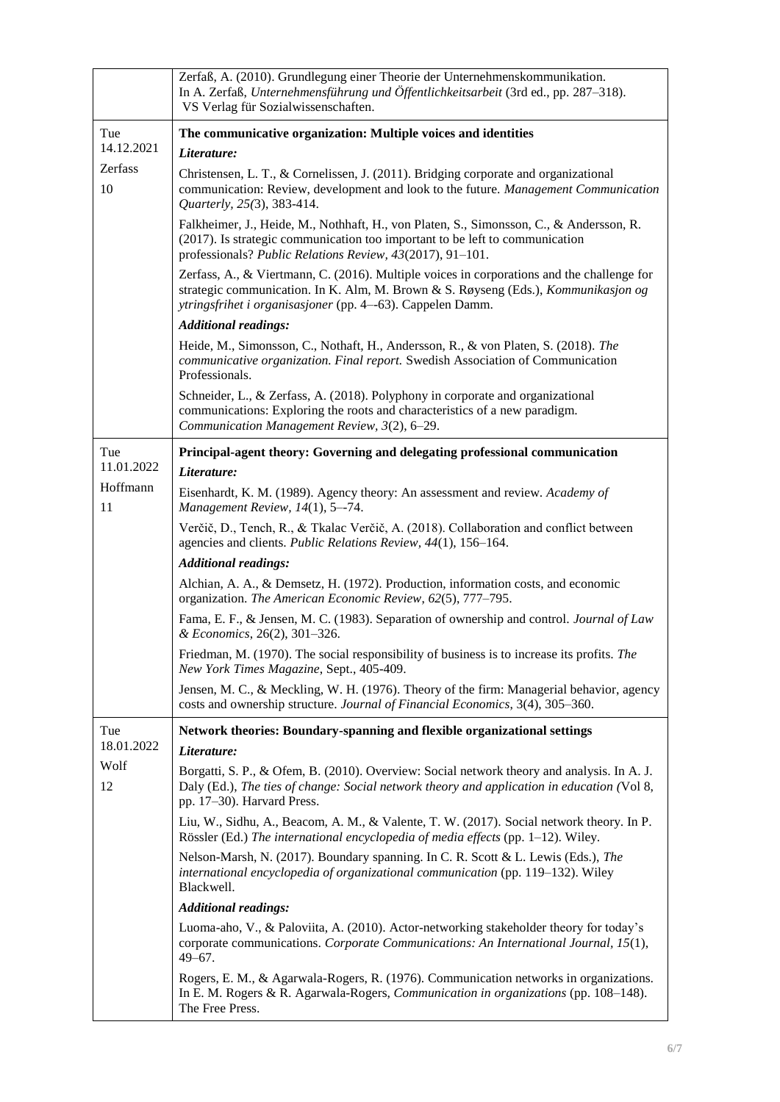|                | Zerfaß, A. (2010). Grundlegung einer Theorie der Unternehmenskommunikation.<br>In A. Zerfaß, Unternehmensführung und Öffentlichkeitsarbeit (3rd ed., pp. 287–318).<br>VS Verlag für Sozialwissenschaften.                                             |
|----------------|-------------------------------------------------------------------------------------------------------------------------------------------------------------------------------------------------------------------------------------------------------|
| Tue            | The communicative organization: Multiple voices and identities                                                                                                                                                                                        |
| 14.12.2021     | Literature:                                                                                                                                                                                                                                           |
| Zerfass<br>10  | Christensen, L. T., & Cornelissen, J. (2011). Bridging corporate and organizational<br>communication: Review, development and look to the future. Management Communication<br>Quarterly, 25(3), 383-414.                                              |
|                | Falkheimer, J., Heide, M., Nothhaft, H., von Platen, S., Simonsson, C., & Andersson, R.<br>(2017). Is strategic communication too important to be left to communication<br>professionals? Public Relations Review, 43(2017), 91-101.                  |
|                | Zerfass, A., & Viertmann, C. (2016). Multiple voices in corporations and the challenge for<br>strategic communication. In K. Alm, M. Brown & S. Røyseng (Eds.), <i>Kommunikasjon og</i><br>ytringsfrihet i organisasjoner (pp. 4--63). Cappelen Damm. |
|                | <b>Additional readings:</b>                                                                                                                                                                                                                           |
|                | Heide, M., Simonsson, C., Nothaft, H., Andersson, R., & von Platen, S. (2018). The<br>communicative organization. Final report. Swedish Association of Communication<br>Professionals.                                                                |
|                | Schneider, L., & Zerfass, A. (2018). Polyphony in corporate and organizational<br>communications: Exploring the roots and characteristics of a new paradigm.<br>Communication Management Review, 3(2), 6-29.                                          |
| Tue            | Principal-agent theory: Governing and delegating professional communication                                                                                                                                                                           |
| 11.01.2022     | Literature:                                                                                                                                                                                                                                           |
| Hoffmann<br>11 | Eisenhardt, K. M. (1989). Agency theory: An assessment and review. Academy of<br>Management Review, 14(1), 5--74.                                                                                                                                     |
|                | Verčič, D., Tench, R., & Tkalac Verčič, A. (2018). Collaboration and conflict between<br>agencies and clients. Public Relations Review, 44(1), 156-164.                                                                                               |
|                | <b>Additional readings:</b>                                                                                                                                                                                                                           |
|                | Alchian, A. A., & Demsetz, H. (1972). Production, information costs, and economic<br>organization. The American Economic Review, 62(5), 777-795.                                                                                                      |
|                | Fama, E. F., & Jensen, M. C. (1983). Separation of ownership and control. Journal of Law<br>& Economics, 26(2), 301-326.                                                                                                                              |
|                | Friedman, M. (1970). The social responsibility of business is to increase its profits. The<br>New York Times Magazine, Sept., 405-409.                                                                                                                |
|                | Jensen, M. C., & Meckling, W. H. (1976). Theory of the firm: Managerial behavior, agency<br>costs and ownership structure. Journal of Financial Economics, 3(4), 305-360.                                                                             |
| Tue            | Network theories: Boundary-spanning and flexible organizational settings                                                                                                                                                                              |
| 18.01.2022     | Literature:                                                                                                                                                                                                                                           |
| Wolf<br>12     | Borgatti, S. P., & Ofem, B. (2010). Overview: Social network theory and analysis. In A. J.<br>Daly (Ed.), The ties of change: Social network theory and application in education (Vol 8,<br>pp. 17-30). Harvard Press.                                |
|                | Liu, W., Sidhu, A., Beacom, A. M., & Valente, T. W. (2017). Social network theory. In P.<br>Rössler (Ed.) The international encyclopedia of media effects (pp. 1-12). Wiley.                                                                          |
|                | Nelson-Marsh, N. (2017). Boundary spanning. In C. R. Scott & L. Lewis (Eds.), The<br>international encyclopedia of organizational communication (pp. 119-132). Wiley<br>Blackwell.                                                                    |
|                | <b>Additional readings:</b>                                                                                                                                                                                                                           |
|                | Luoma-aho, V., & Paloviita, A. (2010). Actor-networking stakeholder theory for today's<br>corporate communications. Corporate Communications: An International Journal, 15(1),<br>$49 - 67$ .                                                         |
|                | Rogers, E. M., & Agarwala-Rogers, R. (1976). Communication networks in organizations.<br>In E. M. Rogers & R. Agarwala-Rogers, <i>Communication in organizations</i> (pp. 108–148).<br>The Free Press.                                                |